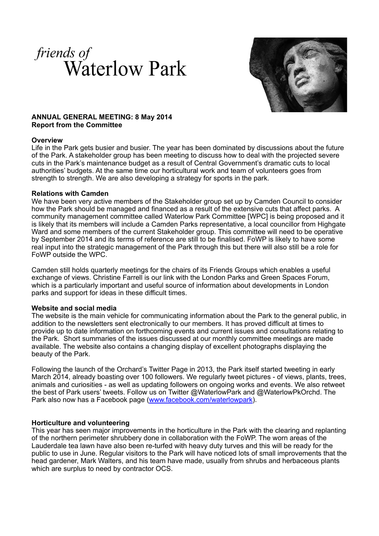



## **ANNUAL GENERAL MEETING: 8 May 2014 Report from the Committee**

## **Overview**

Life in the Park gets busier and busier. The year has been dominated by discussions about the future of the Park. A stakeholder group has been meeting to discuss how to deal with the projected severe cuts in the Park's maintenance budget as a result of Central Government's dramatic cuts to local authorities' budgets. At the same time our horticultural work and team of volunteers goes from strength to strength. We are also developing a strategy for sports in the park.

## **Relations with Camden**

We have been very active members of the Stakeholder group set up by Camden Council to consider how the Park should be managed and financed as a result of the extensive cuts that affect parks. A community management committee called Waterlow Park Committee [WPC] is being proposed and it is likely that its members will include a Camden Parks representative, a local councillor from Highgate Ward and some members of the current Stakeholder group. This committee will need to be operative by September 2014 and its terms of reference are still to be finalised. FoWP is likely to have some real input into the strategic management of the Park through this but there will also still be a role for FoWP outside the WPC.

Camden still holds quarterly meetings for the chairs of its Friends Groups which enables a useful exchange of views. Christine Farrell is our link with the London Parks and Green Spaces Forum, which is a particularly important and useful source of information about developments in London parks and support for ideas in these difficult times.

#### **Website and social media**

The website is the main vehicle for communicating information about the Park to the general public, in addition to the newsletters sent electronically to our members. It has proved difficult at times to provide up to date information on forthcoming events and current issues and consultations relating to the Park. Short summaries of the issues discussed at our monthly committee meetings are made available. The website also contains a changing display of excellent photographs displaying the beauty of the Park.

Following the launch of the Orchard's Twitter Page in 2013, the Park itself started tweeting in early March 2014, already boasting over 100 followers. We regularly tweet pictures - of views, plants, trees, animals and curiosities - as well as updating followers on ongoing works and events. We also retweet the best of Park users' tweets. Follow us on Twitter @WaterlowPark and @WaterlowPkOrchd. The Park also now has a Facebook page [\(www.facebook.com/waterlowpark\)](http://www.facebook.com/waterlowpark).

## **Horticulture and volunteering**

This year has seen major improvements in the horticulture in the Park with the clearing and replanting of the northern perimeter shrubbery done in collaboration with the FoWP. The worn areas of the Lauderdale tea lawn have also been re-turfed with heavy duty turves and this will be ready for the public to use in June. Regular visitors to the Park will have noticed lots of small improvements that the head gardener, Mark Walters, and his team have made, usually from shrubs and herbaceous plants which are surplus to need by contractor OCS.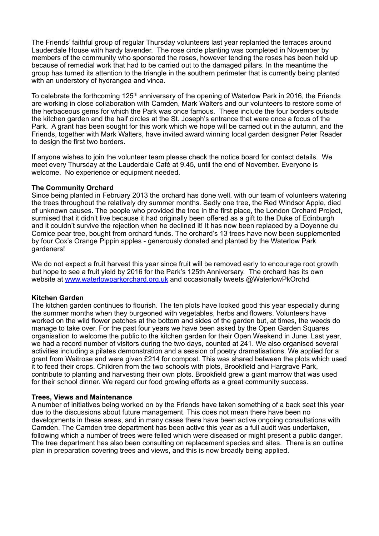The Friends' faithful group of regular Thursday volunteers last year replanted the terraces around Lauderdale House with hardy lavender. The rose circle planting was completed in November by members of the community who sponsored the roses, however tending the roses has been held up because of remedial work that had to be carried out to the damaged pillars. In the meantime the group has turned its attention to the triangle in the southern perimeter that is currently being planted with an understory of hydrangea and vinca.

To celebrate the forthcoming 125<sup>th</sup> anniversary of the opening of Waterlow Park in 2016, the Friends are working in close collaboration with Camden, Mark Walters and our volunteers to restore some of the herbaceous gems for which the Park was once famous. These include the four borders outside the kitchen garden and the half circles at the St. Joseph's entrance that were once a focus of the Park. A grant has been sought for this work which we hope will be carried out in the autumn, and the Friends, together with Mark Walters, have invited award winning local garden designer Peter Reader to design the first two borders.

If anyone wishes to join the volunteer team please check the notice board for contact details. We meet every Thursday at the Lauderdale Café at 9.45, until the end of November. Everyone is welcome. No experience or equipment needed.

## **The Community Orchard**

Since being planted in February 2013 the orchard has done well, with our team of volunteers watering the trees throughout the relatively dry summer months. Sadly one tree, the Red Windsor Apple, died of unknown causes. The people who provided the tree in the first place, the London Orchard Project, surmised that it didn't live because it had originally been offered as a gift to the Duke of Edinburgh and it couldn't survive the rejection when he declined it! It has now been replaced by a Doyenne du Comice pear tree, bought from orchard funds. The orchard's 13 trees have now been supplemented by four Cox's Orange Pippin apples - generously donated and planted by the Waterlow Park gardeners!

We do not expect a fruit harvest this year since fruit will be removed early to encourage root growth but hope to see a fruit yield by 2016 for the Park's 125th Anniversary. The orchard has its own website at [www.waterlowparkorchard.org.uk](http://www.waterlowparkorchard.org.uk) and occasionally tweets @WaterlowPkOrchd

#### **Kitchen Garden**

The kitchen garden continues to flourish. The ten plots have looked good this year especially during the summer months when they burgeoned with vegetables, herbs and flowers. Volunteers have worked on the wild flower patches at the bottom and sides of the garden but, at times, the weeds do manage to take over. For the past four years we have been asked by the Open Garden Squares organisation to welcome the public to the kitchen garden for their Open Weekend in June. Last year, we had a record number of visitors during the two days, counted at 241. We also organised several activities including a pilates demonstration and a session of poetry dramatisations. We applied for a grant from Waitrose and were given £214 for compost. This was shared between the plots which used it to feed their crops. Children from the two schools with plots, Brookfield and Hargrave Park, contribute to planting and harvesting their own plots. Brookfield grew a giant marrow that was used for their school dinner. We regard our food growing efforts as a great community success.

#### **Trees, Views and Maintenance**

A number of initiatives being worked on by the Friends have taken something of a back seat this year due to the discussions about future management. This does not mean there have been no developments in these areas, and in many cases there have been active ongoing consultations with Camden. The Camden tree department has been active this year as a full audit was undertaken, following which a number of trees were felled which were diseased or might present a public danger. The tree department has also been consulting on replacement species and sites. There is an outline plan in preparation covering trees and views, and this is now broadly being applied.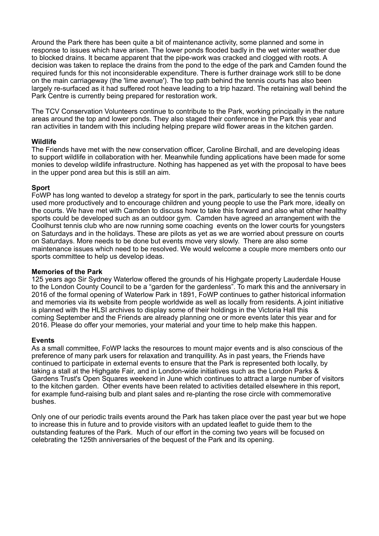Around the Park there has been quite a bit of maintenance activity, some planned and some in response to issues which have arisen. The lower ponds flooded badly in the wet winter weather due to blocked drains. It became apparent that the pipe-work was cracked and clogged with roots. A decision was taken to replace the drains from the pond to the edge of the park and Camden found the required funds for this not inconsiderable expenditure. There is further drainage work still to be done on the main carriageway (the 'lime avenue'). The top path behind the tennis courts has also been largely re-surfaced as it had suffered root heave leading to a trip hazard. The retaining wall behind the Park Centre is currently being prepared for restoration work.

The TCV Conservation Volunteers continue to contribute to the Park, working principally in the nature areas around the top and lower ponds. They also staged their conference in the Park this year and ran activities in tandem with this including helping prepare wild flower areas in the kitchen garden.

## **Wildlife**

The Friends have met with the new conservation officer, Caroline Birchall, and are developing ideas to support wildlife in collaboration with her. Meanwhile funding applications have been made for some monies to develop wildlife infrastructure. Nothing has happened as yet with the proposal to have bees in the upper pond area but this is still an aim.

## **Sport**

FoWP has long wanted to develop a strategy for sport in the park, particularly to see the tennis courts used more productively and to encourage children and young people to use the Park more, ideally on the courts. We have met with Camden to discuss how to take this forward and also what other healthy sports could be developed such as an outdoor gym. Camden have agreed an arrangement with the Coolhurst tennis club who are now running some coaching events on the lower courts for youngsters on Saturdays and in the holidays. These are pilots as yet as we are worried about pressure on courts on Saturdays. More needs to be done but events move very slowly. There are also some maintenance issues which need to be resolved. We would welcome a couple more members onto our sports committee to help us develop ideas.

### **Memories of the Park**

125 years ago Sir Sydney Waterlow offered the grounds of his Highgate property Lauderdale House to the London County Council to be a "garden for the gardenless". To mark this and the anniversary in 2016 of the formal opening of Waterlow Park in 1891, FoWP continues to gather historical information and memories via its website from people worldwide as well as locally from residents. A joint initiative is planned with the HLSI archives to display some of their holdings in the Victoria Hall this coming September and the Friends are already planning one or more events later this year and for 2016. Please do offer your memories, your material and your time to help make this happen.

## **Events**

As a small committee, FoWP lacks the resources to mount major events and is also conscious of the preference of many park users for relaxation and tranquillity. As in past years, the Friends have continued to participate in external events to ensure that the Park is represented both locally, by taking a stall at the Highgate Fair, and in London-wide initiatives such as the London Parks & Gardens Trust's Open Squares weekend in June which continues to attract a large number of visitors to the kitchen garden. Other events have been related to activities detailed elsewhere in this report, for example fund-raising bulb and plant sales and re-planting the rose circle with commemorative bushes.

Only one of our periodic trails events around the Park has taken place over the past year but we hope to increase this in future and to provide visitors with an updated leaflet to guide them to the outstanding features of the Park. Much of our effort in the coming two years will be focused on celebrating the 125th anniversaries of the bequest of the Park and its opening.